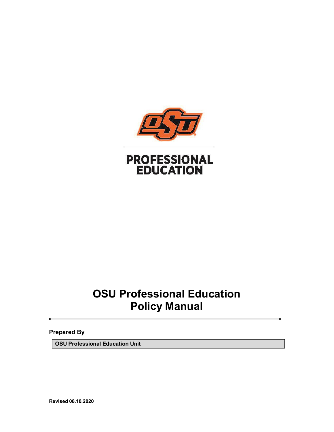

# **OSU Professional Education Policy Manual**

**Prepared By**

**OSU Professional Education Unit**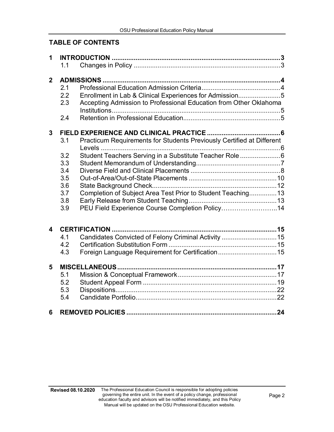# **TABLE OF CONTENTS**

| 1              |     |                                                                                 |  |  |  |
|----------------|-----|---------------------------------------------------------------------------------|--|--|--|
|                | 1.1 |                                                                                 |  |  |  |
| $\overline{2}$ |     |                                                                                 |  |  |  |
|                | 2.1 |                                                                                 |  |  |  |
|                | 2.2 | Enrollment in Lab & Clinical Experiences for Admission5                         |  |  |  |
|                | 2.3 | Accepting Admission to Professional Education from Other Oklahoma               |  |  |  |
|                | 2.4 |                                                                                 |  |  |  |
| 3              |     |                                                                                 |  |  |  |
|                | 3.1 | Practicum Requirements for Students Previously Certified at Different<br>Levels |  |  |  |
|                | 3.2 | Student Teachers Serving in a Substitute Teacher Role6                          |  |  |  |
|                | 3.3 |                                                                                 |  |  |  |
|                | 3.4 |                                                                                 |  |  |  |
|                | 3.5 |                                                                                 |  |  |  |
|                | 3.6 |                                                                                 |  |  |  |
|                | 3.7 | Completion of Subject Area Test Prior to Student Teaching 13                    |  |  |  |
|                | 3.8 |                                                                                 |  |  |  |
|                | 3.9 | PEU Field Experience Course Completion Policy14                                 |  |  |  |
| 4              |     |                                                                                 |  |  |  |
|                | 4.1 | Candidates Convicted of Felony Criminal Activity  15                            |  |  |  |
|                | 4.2 |                                                                                 |  |  |  |
|                | 4.3 |                                                                                 |  |  |  |
|                |     | Foreign Language Requirement for Certification15                                |  |  |  |
| 5              |     |                                                                                 |  |  |  |
|                | 5.1 |                                                                                 |  |  |  |
|                | 5.2 |                                                                                 |  |  |  |
|                | 5.3 |                                                                                 |  |  |  |
|                | 5.4 |                                                                                 |  |  |  |
| 6              |     |                                                                                 |  |  |  |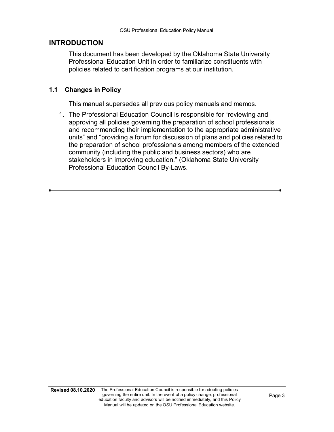#### <span id="page-2-0"></span>**INTRODUCTION**

This document has been developed by the Oklahoma State University Professional Education Unit in order to familiarize constituents with policies related to certification programs at our institution.

## <span id="page-2-1"></span>**1.1 Changes in Policy**

This manual supersedes all previous policy manuals and memos.

1. The Professional Education Council is responsible for "reviewing and approving all policies governing the preparation of school professionals and recommending their implementation to the appropriate administrative units" and "providing a forum for discussion of plans and policies related to the preparation of school professionals among members of the extended community (including the public and business sectors) who are stakeholders in improving education." (Oklahoma State University Professional Education Council By-Laws.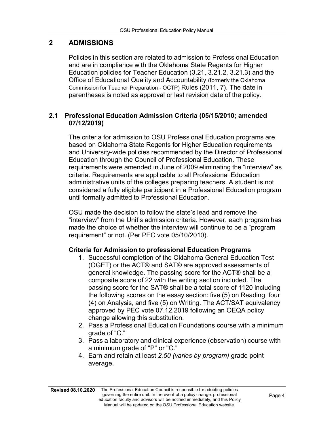# <span id="page-3-0"></span>**2 ADMISSIONS**

Policies in this section are related to admission to Professional Education and are in compliance with the Oklahoma State Regents for Higher Education policies for Teacher Education (3.21, 3.21.2, 3.21.3) and the Office of Educational Quality and Accountability (formerly the Oklahoma Commission for Teacher Preparation - OCTP) Rules (2011, 7). The date in parentheses is noted as approval or last revision date of the policy.

# <span id="page-3-1"></span>**2.1 Professional Education Admission Criteria (05/15/2010; amended 07/12/2019)**

The criteria for admission to OSU Professional Education programs are based on Oklahoma State Regents for Higher Education requirements and University-wide policies recommended by the Director of Professional Education through the Council of Professional Education. These requirements were amended in June of 2009 eliminating the "interview" as criteria. Requirements are applicable to all Professional Education administrative units of the colleges preparing teachers. A student is not considered a fully eligible participant in a Professional Education program until formally admitted to Professional Education.

OSU made the decision to follow the state's lead and remove the "interview" from the Unit's admission criteria. However, each program has made the choice of whether the interview will continue to be a "program requirement" or not. (Per PEC vote 05/10/2010).

# **Criteria for Admission to professional Education Programs**

- 1. Successful completion of the Oklahoma General Education Test (OGET) or the ACT® and SAT® are approved assessments of general knowledge. The passing score for the ACT® shall be a composite score of 22 with the writing section included. The passing score for the SAT® shall be a total score of 1120 including the following scores on the essay section: five (5) on Reading, four (4) on Analysis, and five (5) on Writing. The ACT/SAT equivalency approved by PEC vote 07.12.2019 following an OEQA policy change allowing this substitution.
- 2. Pass a Professional Education Foundations course with a minimum grade of "C."
- 3. Pass a laboratory and clinical experience (observation) course with a minimum grade of "P" or "C."
- 4. Earn and retain at least *2.50 (varies by program)* grade point average.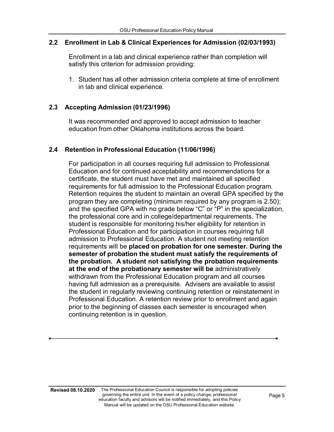#### **2.2 Enrollment in Lab & Clinical Experiences for Admission (02/03/1993)**

Enrollment in a lab and clinical experience rather than completion will satisfy this criterion for admission providing:

1. Student has all other admission criteria complete at time of enrollment in lab and clinical experience.

#### **2.3 Accepting Admission (01/23/1996)**

It was recommended and approved to accept admission to teacher education from other Oklahoma institutions across the board.

#### **2.4 Retention in Professional Education (11/06/1996)**

For participation in all courses requiring full admission to Professional Education and for continued acceptability and recommendations for a certificate, the student must have met and maintained all specified requirements for full admission to the Professional Education program. Retention requires the student to maintain an overall GPA specified by the program they are completing (minimum required by any program is 2.50); and the specified GPA with no grade below "C" or "P" in the specialization, the professional core and in college/departmental requirements. The student is responsible for monitoring his/her eligibility for retention in Professional Education and for participation in courses requiring full admission to Professional Education. A student not meeting retention requirements will be **placed on probation for one semester. During the semester of probation the student must satisfy the requirements of the probation. A student not satisfying the probation requirements at the end of the probationary semester will be** administratively withdrawn from the Professional Education program and all courses having full admission as a prerequisite. Advisers are available to assist the student in regularly reviewing continuing retention or reinstatement in Professional Education. A retention review prior to enrollment and again prior to the beginning of classes each semester is encouraged when continuing retention is in question.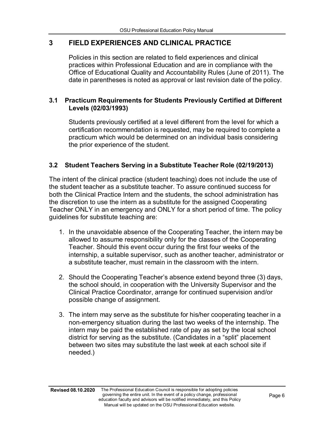# **3 FIELD EXPERIENCES AND CLINICAL PRACTICE**

Policies in this section are related to field experiences and clinical practices within Professional Education and are in compliance with the Office of Educational Quality and Accountability Rules (June of 2011). The date in parentheses is noted as approval or last revision date of the policy.

# <span id="page-5-0"></span>**3.1 Practicum Requirements for Students Previously Certified at Different Levels (02/03/1993)**

Students previously certified at a level different from the level for which a certification recommendation is requested, may be required to complete a practicum which would be determined on an individual basis considering the prior experience of the student.

# **3.2 Student Teachers Serving in a Substitute Teacher Role (02/19/2013)**

The intent of the clinical practice (student teaching) does not include the use of the student teacher as a substitute teacher. To assure continued success for both the Clinical Practice Intern and the students, the school administration has the discretion to use the intern as a substitute for the assigned Cooperating Teacher ONLY in an emergency and ONLY for a short period of time. The policy guidelines for substitute teaching are:

- 1. In the unavoidable absence of the Cooperating Teacher, the intern may be allowed to assume responsibility only for the classes of the Cooperating Teacher. Should this event occur during the first four weeks of the internship, a suitable supervisor, such as another teacher, administrator or a substitute teacher, must remain in the classroom with the intern.
- 2. Should the Cooperating Teacher's absence extend beyond three (3) days, the school should, in cooperation with the University Supervisor and the Clinical Practice Coordinator, arrange for continued supervision and/or possible change of assignment.
- 3. The intern may serve as the substitute for his/her cooperating teacher in a non-emergency situation during the last two weeks of the internship. The intern may be paid the established rate of pay as set by the local school district for serving as the substitute. (Candidates in a "split" placement between two sites may substitute the last week at each school site if needed.)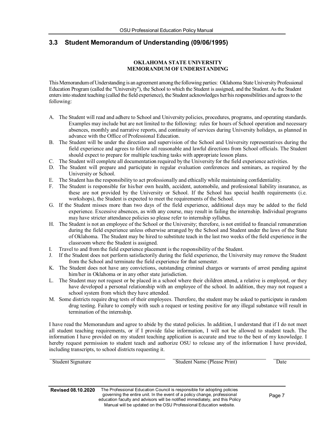## <span id="page-6-0"></span>**3.3 Student Memorandum of Understanding (09/06/1995)**

#### **OKLAHOMA STATE UNIVERSITY MEMORANDUM OF UNDERSTANDING**

This Memorandum of Understanding is an agreement among the following parties: Oklahoma State University Professional Education Program (called the "University"), the School to which the Student is assigned, and the Student. As the Student entersinto student teaching (called the field experience), the Student acknowledges her/hisresponsibilities and agreesto the following:

- A. The Student will read and adhere to School and University policies, procedures, programs, and operating standards. Examples may include but are not limited to the following: rules for hours of School operation and necessary absences, monthly and narrative reports, and continuity of services during University holidays, as planned in advance with the Office of Professional Education.
- B. The Student will be under the direction and supervision of the School and University representatives during the field experience and agrees to follow all reasonable and lawful directions from School officials. The Student should expect to prepare for multiple teaching tasks with appropriate lesson plans.
- C. The Student will complete all documentation required by the University for the field experience activities.
- D. The Student will prepare and participate in regular evaluation conferences and seminars, as required by the University or School.
- E. The Student hasthe responsibility to act professionally and ethically while maintaining confidentiality.
- F. The Student is responsible for his/her own health, accident, automobile, and professional liability insurance, as these are not provided by the University or School. If the School has special health requirements (i.e. workshops), the Student is expected to meet the requirements of the School.
- G. If the Student misses more than two days of the field experience, additional days may be added to the field experience. Excessive absences, as with any course, may result in failing the internship. Individual programs may have stricter attendance policies so please refer to internship syllabus.
- H. The Student is not an employee of the School or the University; therefore, is not entitled to financial remuneration during the field experience unless otherwise arranged by the School and Student under the laws of the State of Oklahoma. The Student may be hired to substitute teach in the last two weeks of the field experience in the classroom where the Student is assigned.
- I. Travel to and from the field experience placement is the responsibility of the Student.
- J. If the Student does not perform satisfactorily during the field experience, the University may remove the Student from the School and terminate the field experience for that semester.
- K. The Student does not have any convictions, outstanding criminal charges or warrants of arrest pending against him/her in Oklahoma or in any other state jurisdiction.
- L. The Student may not request or be placed in a school where their children attend, a relative is employed, or they have developed a personal relationship with an employee of the school. In addition, they may not request a school system from which they have attended.
- M. Some districts require drug tests of their employees. Therefore, the student may be asked to participate in random drug testing. Failure to comply with such a request or testing positive for any illegal substance will result in termination of the internship.

I have read the Memorandum and agree to abide by the stated policies. In addition, I understand that if I do not meet all student teaching requirements, or if I provide false information, I will not be allowed to student teach. The information I have provided on my student teaching application is accurate and true to the best of my knowledge. I hereby request permission to student teach and authorize OSU to release any of the information I have provided, including transcripts, to school districts requesting it.

| Student Signature | Student Name (Please Print) | Date |
|-------------------|-----------------------------|------|
|                   |                             |      |
|                   |                             |      |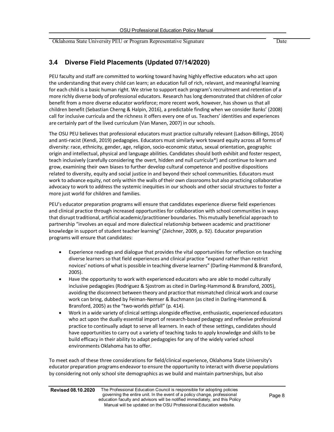Oklahoma State University PEU or Program Representative Signature Date

# **3.4 Diverse Field Placements (Updated 07/14/2020)**

PEU faculty and staff are committed to working toward having highly effective educators who act upon the understanding that every child can learn; an education full of rich, relevant, and meaningful learning for each child is a basic human right. We strive to support each program's recruitment and retention of a more richly diverse body of professional educators. Research haslong demonstrated that children of color benefit from a more diverse educator workforce; more recent work, however, has shown us that all children benefit (Sebastian Cherng & Halpin, 2016), a predictable finding when we consider Banks' (2008) call for inclusive curricula and the richness it offers every one of us. Teachers' identities and experiences are certainly part of the lived curriculum (Van Manen, 2007) in our schools.

The OSU PEU believes that professional educators must practice culturally relevant (Ladson-Billings, 2014) and anti-racist (Kendi, 2019) pedagogies. Educators must similarly work toward equity across all forms of diversity: race, ethnicity, gender, age, religion, socio-economic status, sexual orientation, geographic origin and intellectual, physical and language abilities. Candidates should both exhibit and foster respect, teach inclusively (carefully considering the overt, hidden and null curricula\*) and continue to learn and grow, examining their own biases to further develop cultural competence and positive dispositions related to diversity, equity and social justice in and beyond their school communities. Educators must work to advance equity, not only within the walls of their own classrooms but also practicing collaborative advocacy to work to address the systemic inequities in our schools and other social structures to foster a more just world for children and families.

PEU's educator preparation programs will ensure that candidates experience diverse field experiences and clinical practice through increased opportunities for collaboration with school communities in ways that disrupt traditional, artificial academic/practitioner boundaries. This mutually beneficial approach to partnership "involves an equal and more dialectical relationship between academic and practitioner knowledge in support of student teacher learning" (Zeichner, 2009, p. 92). Educator preparation programs will ensure that candidates:

- Experience readings and dialogue that provides the vital opportunities for reflection on teaching diverse learners so that field experiences and clinical practice "expand rather than restrict novices' notions of what is possible in teaching diverse learners" (Darling-Hammond & Bransford, 2005).
- Have the opportunity to work with experienced educators who are able to model culturally inclusive pedagogies (Rodriguez & Sjostrom as cited in Darling-Hammond & Bransford, 2005), avoiding the disconnect between theory and practice that mismatched clinical work and course work can bring, dubbed by Feiman-Nemser & Buchmann (as cited in Darling-Hammond & Bransford, 2005) as the "two-worlds pitfall" (p. 414).
- Work in a wide variety of clinical settings alongside effective, enthusiastic, experienced educators who act upon the dually essential import of research-based pedagogy and reflexive professional practice to continually adapt to serve all learners. In each of these settings, candidates should have opportunities to carry out a variety of teaching tasks to apply knowledge and skills to be build efficacy in their ability to adapt pedagogies for any of the widely varied school environments Oklahoma has to offer.

To meet each of these three considerations for field/clinical experience, Oklahoma State University's educator preparation programs endeavor to ensure the opportunity to interact with diverse populations by considering not only school site demographics as we build and maintain partnerships, but also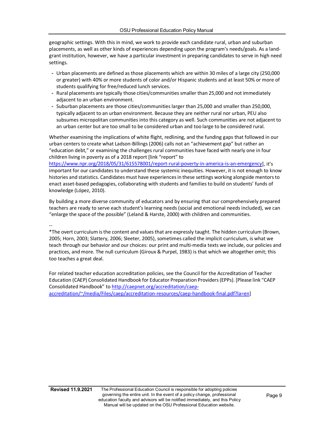geographic settings. With this in mind, we work to provide each candidate rural, urban and suburban placements, as well as other kinds of experiences depending upon the program's needs/goals. As a landgrant institution, however, we have a particular investment in preparing candidates to serve in high need settings.

- Urban placements are defined as those placements which are within 30 miles of a large city (250,000 or greater) with 40% or more students of color and/or Hispanic students and at least 50% or more of students qualifying for free/reduced lunch services.
- Rural placements are typically those cities/communitiessmaller than 25,000 and not immediately adjacent to an urban environment.
- Suburban placements are those cities/communities larger than 25,000 and smaller than 250,000, typically adjacent to an urban environment. Because they are neither rural nor urban, PEU also subsumes micropolitan communities into this category as well. Such communities are not adjacent to an urban center but are too small to be considered urban and too large to be considered rural.

Whether examining the implications of white flight, redlining, and the funding gaps that followed in our urban centers to create what Ladson-Billings (2006) calls not an "achievement gap" but rather an "education debt," or examining the challenges rural communities have faced with nearly one in four children living in poverty as of a 2018 report [link "report" to

[https://www.npr.org/2018/05/31/615578001/report-rural-poverty-in-america-is-an-emergency\]](https://www.npr.org/2018/05/31/615578001/report-rural-poverty-in-america-is-an-emergency), it's important for our candidates to understand these systemic inequities. However, it is not enough to know histories and statistics. Candidates must have experiences in these settings working alongside mentors to enact asset-based pedagogies, collaborating with students and families to build on students' funds of knowledge (López, 2010).

By building a more diverse community of educators and by ensuring that our comprehensively prepared teachers are ready to serve each student's learning needs (social and emotional needs included), we can "enlarge the space of the possible" (Leland & Harste, 2000) with children and communities.

--

\*The overt curriculum isthe content and valuesthat are expressly taught. The hidden curriculum (Brown, 2005; Horn, 2003; Slattery, 2006; Sleeter, 2005), sometimes called the implicit curriculum, is what we teach through our behavior and our choices: our print and multi-media texts we include, our policies and practices, and more. The null curriculum (Giroux & Purpel, 1983) is that which we altogether omit; this too teaches a great deal.

For related teacher education accreditation policies, see the Council for the Accreditation of Teacher Education (CAEP) Consolidated Handbook for Educator Preparation Providers(EPPs). [Please link "CAEP Consolidated Handbook" to [http://caepnet.org/accreditation/caep](http://caepnet.org/accreditation/caep-accreditation/%7E/media/Files/caep/accreditation-resources/caep-handbook-final.pdf?la=en)[accreditation/~/media/Files/caep/accreditation-resources/caep-handbook-final.pdf?la=en\]](http://caepnet.org/accreditation/caep-accreditation/%7E/media/Files/caep/accreditation-resources/caep-handbook-final.pdf?la=en)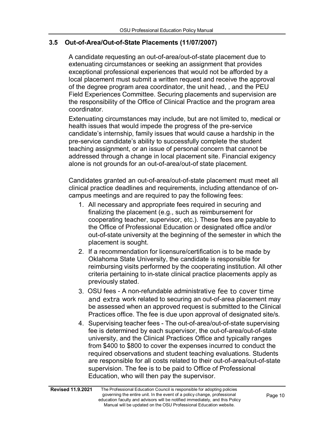# **3.5 Out-of-Area/Out-of-State Placements (11/07/2007)**

A candidate requesting an out-of-area/out-of-state placement due to extenuating circumstances or seeking an assignment that provides exceptional professional experiences that would not be afforded by a local placement must submit a written request and receive the approval of the degree program area coordinator, the unit head, , and the PEU Field Experiences Committee. Securing placements and supervision are the responsibility of the Office of Clinical Practice and the program area coordinator.

Extenuating circumstances may include, but are not limited to, medical or health issues that would impede the progress of the pre-service candidate's internship, family issues that would cause a hardship in the pre-service candidate's ability to successfully complete the student teaching assignment, or an issue of personal concern that cannot be addressed through a change in local placement site. Financial exigency alone is not grounds for an out-of-area/out-of state placement.

Candidates granted an out-of-area/out-of-state placement must meet all clinical practice deadlines and requirements, including attendance of oncampus meetings and are required to pay the following fees:

- 1. All necessary and appropriate fees required in securing and finalizing the placement (e.g., such as reimbursement for cooperating teacher, supervisor, etc.). These fees are payable to the Office of Professional Education or designated office and/or out-of-state university at the beginning of the semester in which the placement is sought.
- 2. If a recommendation for licensure/certification is to be made by Oklahoma State University, the candidate is responsible for reimbursing visits performed by the cooperating institution. All other criteria pertaining to in-state clinical practice placements apply as previously stated.
- 3. OSU fees A non-refundable administrative fee to cover time and extra work related to securing an out-of-area placement may be assessed when an approved request is submitted to the Clinical Practices office. The fee is due upon approval of designated site/s.
- 4. Supervising teacher fees The out-of-area/out-of-state supervising fee is determined by each supervisor, the out-of-area/out-of-state university, and the Clinical Practices Office and typically ranges from \$400 to \$800 to cover the expenses incurred to conduct the required observations and student teaching evaluations. Students are responsible for all costs related to their out-of-area/out-of-state supervision. The fee is to be paid to Office of Professional Education, who will then pay the supervisor.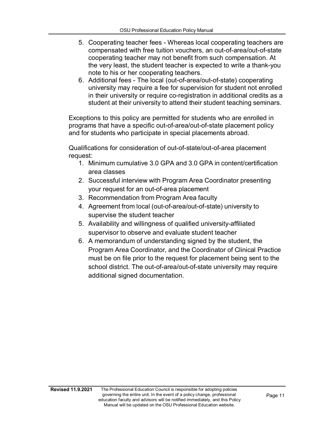- 5. Cooperating teacher fees Whereas local cooperating teachers are compensated with free tuition vouchers, an out-of-area/out-of-state cooperating teacher may not benefit from such compensation. At the very least, the student teacher is expected to write a thank-you note to his or her cooperating teachers.
- 6. Additional fees The local (out-of-area/out-of-state) cooperating university may require a fee for supervision for student not enrolled in their university or require co-registration in additional credits as a student at their university to attend their student teaching seminars.

Exceptions to this policy are permitted for students who are enrolled in programs that have a specific out-of-area/out-of-state placement policy and for students who participate in special placements abroad.

Qualifications for consideration of out-of-state/out-of-area placement request:

- 1. Minimum cumulative 3.0 GPA and 3.0 GPA in content/certification area classes
- 2. Successful interview with Program Area Coordinator presenting your request for an out-of-area placement
- 3. Recommendation from Program Area faculty
- 4. Agreement from local (out-of-area/out-of-state) university to supervise the student teacher
- 5. Availability and willingness of qualified university-affiliated supervisor to observe and evaluate student teacher
- 6. A memorandum of understanding signed by the student, the Program Area Coordinator, and the Coordinator of Clinical Practice must be on file prior to the request for placement being sent to the school district. The out-of-area/out-of-state university may require additional signed documentation.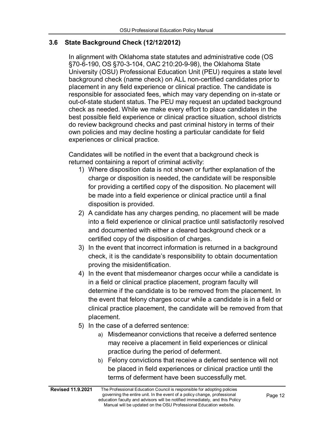## **3.6 State Background Check (12/12/2012)**

In alignment with Oklahoma state statutes and administrative code (OS §70-6-190, OS §70-3-104, OAC 210:20-9-98), the Oklahoma State University (OSU) Professional Education Unit (PEU) requires a state level background check (name check) on ALL non-certified candidates prior to placement in any field experience or clinical practice. The candidate is responsible for associated fees, which may vary depending on in-state or out-of-state student status. The PEU may request an updated background check as needed. While we make every effort to place candidates in the best possible field experience or clinical practice situation, school districts do review background checks and past criminal history in terms of their own policies and may decline hosting a particular candidate for field experiences or clinical practice.

Candidates will be notified in the event that a background check is returned containing a report of criminal activity:

- 1) Where disposition data is not shown or further explanation of the charge or disposition is needed, the candidate will be responsible for providing a certified copy of the disposition. No placement will be made into a field experience or clinical practice until a final disposition is provided.
- 2) A candidate has any charges pending, no placement will be made into a field experience or clinical practice until satisfactorily resolved and documented with either a cleared background check or a certified copy of the disposition of charges.
- 3) In the event that incorrect information is returned in a background check, it is the candidate's responsibility to obtain documentation proving the misidentification.
- 4) In the event that misdemeanor charges occur while a candidate is in a field or clinical practice placement, program faculty will determine if the candidate is to be removed from the placement. In the event that felony charges occur while a candidate is in a field or clinical practice placement, the candidate will be removed from that placement.
- 5) In the case of a deferred sentence:
	- a) Misdemeanor convictions that receive a deferred sentence may receive a placement in field experiences or clinical practice during the period of deferment.
	- b) Felony convictions that receive a deferred sentence will not be placed in field experiences or clinical practice until the terms of deferment have been successfully met.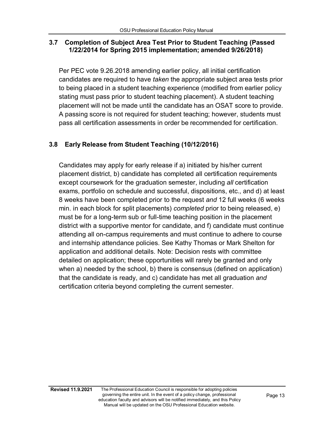# **3.7 Completion of Subject Area Test Prior to Student Teaching (Passed 1/22/2014 for Spring 2015 implementation; amended 9/26/2018)**

Per PEC vote 9.26.2018 amending earlier policy, all initial certification candidates are required to have *taken* the appropriate subject area tests prior to being placed in a student teaching experience (modified from earlier policy stating must pass prior to student teaching placement). A student teaching placement will not be made until the candidate has an OSAT score to provide. A passing score is not required for student teaching; however, students must pass all certification assessments in order be recommended for certification.

# **3.8 Early Release from Student Teaching (10/12/2016)**

Candidates may apply for early release if a) initiated by his/her current placement district, b) candidate has completed all certification requirements except coursework for the graduation semester, including *all* certification exams, portfolio on schedule and successful, dispositions, etc., and d) at least 8 weeks have been completed prior to the request *and* 12 full weeks (6 weeks min. in each block for split placements) *completed* prior to being released, e) must be for a long-term sub or full-time teaching position in the placement district with a supportive mentor for candidate, and f) candidate must continue attending all on-campus requirements and must continue to adhere to course and internship attendance policies. See Kathy Thomas or Mark Shelton for application and additional details. Note: Decision rests with committee detailed on application; these opportunities will rarely be granted and only when a) needed by the school, b) there is consensus (defined on application) that the candidate is ready, and c) candidate has met all graduation *and* certification criteria beyond completing the current semester.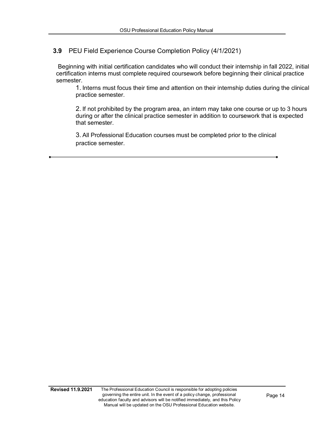# **3.9** PEU Field Experience Course Completion Policy (4/1/2021)

Beginning with initial certification candidates who will conduct their internship in fall 2022, initial certification interns must complete required coursework before beginning their clinical practice semester.

1. Interns must focus their time and attention on their internship duties during the clinical practice semester.

2. If not prohibited by the program area, an intern may take one course or up to 3 hours during or after the clinical practice semester in addition to coursework that is expected that semester.

3. All Professional Education courses must be completed prior to the clinical practice semester.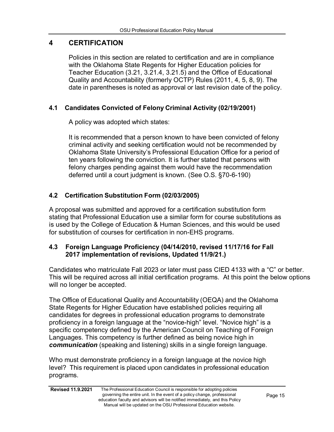# <span id="page-14-0"></span>**4 CERTIFICATION**

Policies in this section are related to certification and are in compliance with the Oklahoma State Regents for Higher Education policies for Teacher Education (3.21, 3.21.4, 3.21.5) and the Office of Educational Quality and Accountability (formerly OCTP) Rules (2011, 4, 5, 8, 9). The date in parentheses is noted as approval or last revision date of the policy.

# **4.1 Candidates Convicted of Felony Criminal Activity (02/19/2001)**

A policy was adopted which states:

It is recommended that a person known to have been convicted of felony criminal activity and seeking certification would not be recommended by Oklahoma State University's Professional Education Office for a period of ten years following the conviction. It is further stated that persons with felony charges pending against them would have the recommendation deferred until a court judgment is known. (See O.S. §70-6-190)

# **4.2 Certification Substitution Form (02/03/2005)**

<span id="page-14-1"></span>A proposal was submitted and approved for a certification substitution form stating that Professional Education use a similar form for course substitutions as is used by the College of Education & Human Sciences, and this would be used for substitution of courses for certification in non-EHS programs.

# **4.3 Foreign Language Proficiency (04/14/2010, revised 11/17/16 for Fall 2017 implementation of revisions, Updated 11/9/21.)**

Candidates who matriculate Fall 2023 or later must pass CIED 4133 with a "C" or better. This will be required across all initial certification programs. At this point the below options will no longer be accepted.

The Office of Educational Quality and Accountability (OEQA) and the Oklahoma State Regents for Higher Education have established policies requiring all candidates for degrees in professional education programs to demonstrate proficiency in a foreign language at the "novice-high" level. "Novice high" is a specific competency defined by the American Council on Teaching of Foreign Languages. This competency is further defined as being novice high in *communication* (speaking and listening) skills in a single foreign language.

Who must demonstrate proficiency in a foreign language at the novice high level? This requirement is placed upon candidates in professional education programs.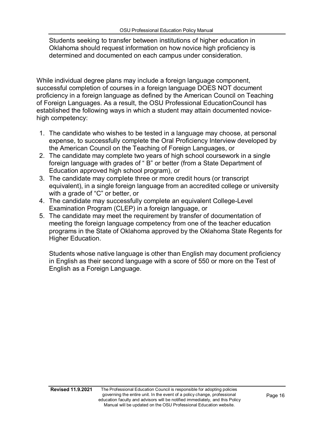Students seeking to transfer between institutions of higher education in Oklahoma should request information on how novice high proficiency is determined and documented on each campus under consideration.

While individual degree plans may include a foreign language component, successful completion of courses in a foreign language DOES NOT document proficiency in a foreign language as defined by the American Council on Teaching of Foreign Languages. As a result, the OSU Professional EducationCouncil has established the following ways in which a student may attain documented novicehigh competency:

- 1. The candidate who wishes to be tested in a language may choose, at personal expense, to successfully complete the Oral Proficiency Interview developed by the American Council on the Teaching of Foreign Languages, or
- 2. The candidate may complete two years of high school coursework in a single foreign language with grades of " B" or better (from a State Department of Education approved high school program), or
- 3. The candidate may complete three or more credit hours (or transcript equivalent), in a single foreign language from an accredited college or university with a grade of "C" or better, or
- 4. The candidate may successfully complete an equivalent College-Level Examination Program (CLEP) in a foreign language, or
- 5. The candidate may meet the requirement by transfer of documentation of meeting the foreign language competency from one of the teacher education programs in the State of Oklahoma approved by the Oklahoma State Regents for Higher Education.

Students whose native language is other than English may document proficiency in English as their second language with a score of 550 or more on the Test of English as a Foreign Language.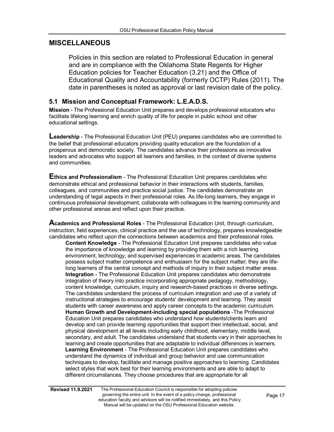## **MISCELLANEOUS**

Policies in this section are related to Professional Education in general and are in compliance with the Oklahoma State Regents for Higher Education policies for Teacher Education (3.21) and the Office of Educational Quality and Accountability (formerly OCTP) Rules (2011). The date in parentheses is noted as approval or last revision date of the policy.

#### **5.1 Mission and Conceptual Framework: L.E.A.D.S.**

**Mission** - The Professional Education Unit prepares and develops professional educators who facilitate lifelong learning and enrich quality of life for people in public school and other educational settings.

**Leadership** - The Professional Education Unit (PEU) prepares candidates who are committed to the belief that professional educators providing quality education are the foundation of a prosperous and democratic society. The candidates advance their professions as innovative leaders and advocates who support all learners and families, in the context of diverse systems and communities.

**Ethics and Professionalism** - The Professional Education Unit prepares candidates who demonstrate ethical and professional behavior in their interactions with students, families, colleagues, and communities and practice social justice. The candidates demonstrate an understanding of legal aspects in their professional roles. As life-long learners, they engage in continuous professional development, collaborate with colleagues in the learning community and other professional arenas and reflect upon their practice.

**Academics and Professional Roles** - The Professional Education Unit, through curriculum, instruction, field experiences, clinical practice and the use of technology, prepares knowledgeable candidates who reflect upon the connections between academics and their professional roles.

**Content Knowledge** - The Professional Education Unit prepares candidates who value the importance of knowledge and learning by providing them with a rich learning environment, technology, and supervised experiences in academic areas. The candidates possess subject matter competence and enthusiasm for the subject matter; they are lifelong learners of the central concept and methods of inquiry in their subject matter areas. **Integration** - The Professional Education Unit prepares candidates who demonstrate integration of theory into practice incorporating appropriate pedagogy, methodology, content knowledge, curriculum, inquiry and research-based practices in diverse settings. The candidates understand the process of curriculum integration and use of a variety of instructional strategies to encourage students' development and learning. They assist students with career awareness and apply career concepts to the academic curriculum. **Human Growth and Development-including special populations** -The Professional Education Unit prepares candidates who understand how students/clients learn and develop and can provide learning opportunities that support their intellectual, social, and physical development at all levels including early childhood, elementary, middle level, secondary, and adult. The candidates understand that students vary in their approaches to learning and create opportunities that are adaptable to individual differences in learners. **Learning Environment** - The Professional Education Unit prepares candidates who understand the dynamics of individual and group behavior and use communication techniques to develop, facilitate and manage positive approaches to learning. Candidates select styles that work best for their learning environments and are able to adapt to different circumstances. They choose procedures that are appropriate for all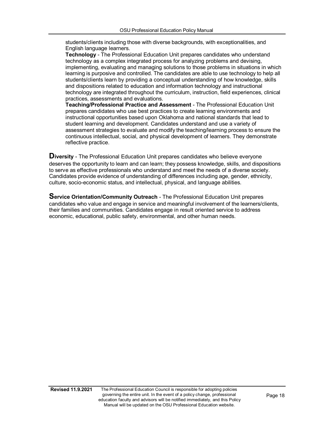students/clients including those with diverse backgrounds, with exceptionalities, and English language learners.

**Technology** - The Professional Education Unit prepares candidates who understand technology as a complex integrated process for analyzing problems and devising, implementing, evaluating and managing solutions to those problems in situations in which learning is purposive and controlled. The candidates are able to use technology to help all students/clients learn by providing a conceptual understanding of how knowledge, skills and dispositions related to education and information technology and instructional technology are integrated throughout the curriculum, instruction, field experiences, clinical practices, assessments and evaluations.

**Teaching/Professional Practice and Assessment** - The Professional Education Unit prepares candidates who use best practices to create learning environments and instructional opportunities based upon Oklahoma and national standards that lead to student learning and development. Candidates understand and use a variety of assessment strategies to evaluate and modify the teaching/learning process to ensure the continuous intellectual, social, and physical development of learners. They demonstrate reflective practice.

**Diversity** - The Professional Education Unit prepares candidates who believe everyone deserves the opportunity to learn and can learn; they possess knowledge, skills, and dispositions to serve as effective professionals who understand and meet the needs of a diverse society. Candidates provide evidence of understanding of differences including age, gender, ethnicity, culture, socio-economic status, and intellectual, physical, and language abilities.

**Service Orientation/Community Outreach** - The Professional Education Unit prepares candidates who value and engage in service and meaningful involvement of the learners/clients, their families and communities. Candidates engage in result oriented service to address economic, educational, public safety, environmental, and other human needs.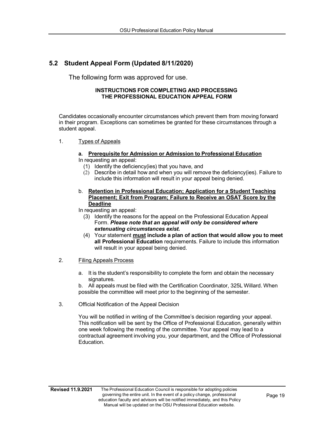# <span id="page-18-0"></span>**5.2 Student Appeal Form (Updated 8/11/2020)**

The following form was approved for use.

#### **INSTRUCTIONS FOR COMPLETING AND PROCESSING THE PROFESSIONAL EDUCATION APPEAL FORM**

Candidates occasionally encounter circumstances which prevent them from moving forward in their program. Exceptions can sometimes be granted for these circumstances through a student appeal.

1. Types of Appeals

#### **a. Prerequisite for Admission or Admission to Professional Education**

- In requesting an appeal:
	- (1) Identify the deficiency(ies) that you have, and
	- (2) Describe in detail how and when you will remove the deficiency(ies). Failure to include this information will result in your appeal being denied.
- b. **Retention in Professional Education; Application for a Student Teaching Placement; Exit from Program; Failure to Receive an OSAT Score by the Deadline**

In requesting an appeal:

- (3) Identify the reasons for the appeal on the Professional Education Appeal Form. *Please note that an appeal will only be considered where extenuating circumstances exist.*
- (4) Your statement **must include a plan of action that would allow you to meet all Professional Education** requirements. Failure to include this information will result in your appeal being denied.

#### 2. Filing Appeals Process

a. It is the student's responsibility to complete the form and obtain the necessary signatures.

b. All appeals must be filed with the Certification Coordinator, 325L Willard. When possible the committee will meet prior to the beginning of the semester.

3. Official Notification of the Appeal Decision

You will be notified in writing of the Committee's decision regarding your appeal. This notification will be sent by the Office of Professional Education, generally within one week following the meeting of the committee. Your appeal may lead to a contractual agreement involving you, your department, and the Office of Professional Education.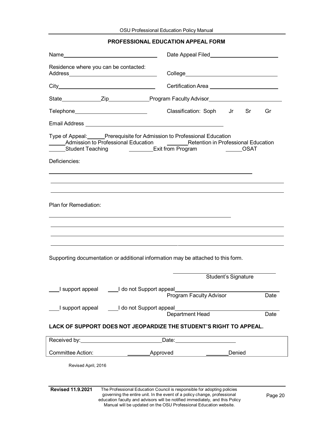#### **PROFESSIONAL EDUCATION APPEAL FORM**

|                                                                                                                                                                                                                                                          |                                                                                                                                                     | Date Appeal Filed__________________________    |  |  |  |  |  |  |
|----------------------------------------------------------------------------------------------------------------------------------------------------------------------------------------------------------------------------------------------------------|-----------------------------------------------------------------------------------------------------------------------------------------------------|------------------------------------------------|--|--|--|--|--|--|
| Residence where you can be contacted:                                                                                                                                                                                                                    |                                                                                                                                                     |                                                |  |  |  |  |  |  |
|                                                                                                                                                                                                                                                          |                                                                                                                                                     | Certification Area ___________________________ |  |  |  |  |  |  |
|                                                                                                                                                                                                                                                          | State________________Zip__________________Program Faculty Advisor__________________________________                                                 |                                                |  |  |  |  |  |  |
|                                                                                                                                                                                                                                                          | Telephone____________________________                                                                                                               | Classification: Soph Jr Sr<br>Gr               |  |  |  |  |  |  |
|                                                                                                                                                                                                                                                          |                                                                                                                                                     |                                                |  |  |  |  |  |  |
| Type of Appeal: Prerequisite for Admission to Professional Education<br>Admission to Professional Education <b>No. 1986</b> Retention in Professional Education<br>______Student Teaching    _________Exit from Program      ______OSAT<br>Deficiencies: |                                                                                                                                                     |                                                |  |  |  |  |  |  |
| Plan for Remediation:                                                                                                                                                                                                                                    |                                                                                                                                                     |                                                |  |  |  |  |  |  |
| Supporting documentation or additional information may be attached to this form.                                                                                                                                                                         |                                                                                                                                                     |                                                |  |  |  |  |  |  |
|                                                                                                                                                                                                                                                          |                                                                                                                                                     | Student's Signature                            |  |  |  |  |  |  |
|                                                                                                                                                                                                                                                          |                                                                                                                                                     |                                                |  |  |  |  |  |  |
|                                                                                                                                                                                                                                                          | I support appeal _____I do not Support appeal______________<br>Department Head                                                                      | Date                                           |  |  |  |  |  |  |
| LACK OF SUPPORT DOES NOT JEOPARDIZE THE STUDENT'S RIGHT TO APPEAL.                                                                                                                                                                                       |                                                                                                                                                     |                                                |  |  |  |  |  |  |
|                                                                                                                                                                                                                                                          | Received by: Necessary Received by:<br>Date: ________________________                                                                               |                                                |  |  |  |  |  |  |
| <b>Committee Action:</b>                                                                                                                                                                                                                                 | _____________Approved      _________                                                                                                                | Denied                                         |  |  |  |  |  |  |
| Revised April, 2016                                                                                                                                                                                                                                      |                                                                                                                                                     |                                                |  |  |  |  |  |  |
| <b>Revised 11.9.2021</b>                                                                                                                                                                                                                                 | The Professional Education Council is responsible for adopting policies<br>governing the entire unit. In the event of a policy change, professional | Page 20                                        |  |  |  |  |  |  |

education faculty and advisors will be notified immediately, and this Policy Manual will be updated on the OSU Professional Education website.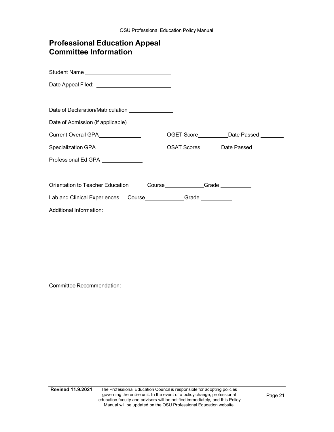| <b>Professional Education Appeal</b><br><b>Committee Information</b> |                                            |
|----------------------------------------------------------------------|--------------------------------------------|
|                                                                      |                                            |
|                                                                      |                                            |
| Date of Declaration/Matriculation ________________                   |                                            |
| Date of Admission (if applicable) ________________                   |                                            |
| Current Overall GPA <b>Current Overall CPA</b>                       | OGET Score____________Date Passed ________ |
| Specialization GPA                                                   | OSAT Scores _______Date Passed ___________ |
| Professional Ed GPA ______________                                   |                                            |
|                                                                      |                                            |
| Orientation to Teacher Education                                     | Course____________Grade _________          |
| Lab and Clinical Experiences Course____________Grade __________      |                                            |
| Additional Information:                                              |                                            |

Committee Recommendation: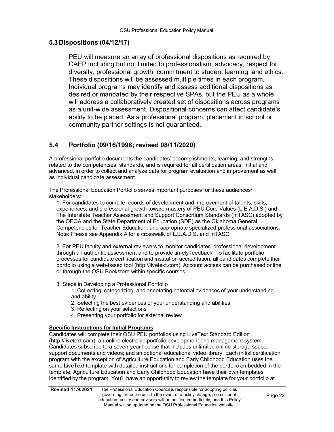#### <span id="page-21-0"></span>**5.3 Dispositions (04/12/17)**

PEU will measure an array of professional dispositions as required by CAEP including but not limited to professionalism, advocacy, respect for diversity, professional growth, commitment to student learning, and ethics. These dispositions will be assessed multiple times in each program. Individual programs may identify and assess additional dispositions as desired or mandated by their respective SPAs, but the PEU as a whole will address a collaboratively created set of dispositions across programs as a unit-wide assessment. Dispositional concerns can affect candidate's ability to be placed. As a professional program, placement in school or community partner settings is not guaranteed.

# **5.4 Portfolio (09/16/1998; revised 08/11/2020)**

A professional portfolio documents the candidates' accomplishments, learning, and strengths related to the competencies, standards, and is required for all certification areas, initial and advanced, in order to collect and analyze data for program evaluation and improvement as well as individual candidate assessment.

The Professional Education Portfolio serves important purposes for these audiences/ stakeholders:

1. For candidates to compile records of development and improvement of talents, skills, experiences, and professional growth toward mastery of PEU Core Values (L.E.A.D.S.) and The Interstate Teacher Assessment and Support Consortium Standards (InTASC) adopted by the OEQA and the State Department of Education (SDE) as the Oklahoma General Competencies for Teacher Education, and appropriate specialized professional associations. Note: Please see Appendix A for a crosswalk of L.E.A.D.S. and InTASC.

2. For PEU faculty and external reviewers to monitor candidates' professional development through an authentic assessment and to provide timely feedback. To facilitate portfolio processes for candidate certification and institution accreditation, all candidates complete their portfolio using a web-based tool (http://livetext.com). Account access can be purchased online or through the OSU Bookstore within specific courses.

#### 3. Steps in Developing a Professional Portfolio

1. Collecting, categorizing, and annotating potential evidences of your understanding and ability

- 2. Selecting the best evidences of your understanding and abilities
- 3. Reflecting on your selections
- 4. Presenting your portfolio for external review

#### **Specific Instructions for Initial Programs**

Candidates will complete their OSU PEU portfolios using LiveText Standard Edition (http://livetext.com), an online electronic portfolio development and management system. Candidates subscribe to a seven-year license that includes unlimited online storage space; support documents and videos; and an optional educational video library. Each initial certification program with the exception of Agriculture Education and Early Childhood Education uses the same LiveText template with detailed instructions for completion of the portfolio embedded in the template. Agriculture Education and Early Childhood Education have their own templates identified by the program. You'll have an opportunity to review the template for your portfolio at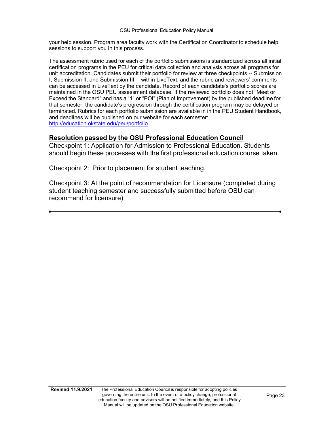your help session. Program area faculty work with the Certification Coordinator to schedule help sessions to support you in this process.

The assessment rubric used for each of the portfolio submissions is standardized across all initial certification programs in the PEU for critical data collection and analysis across all programs for unit accreditation. Candidates submit their portfolio for review at three checkpoints -- Submission I, Submission II, and Submission III -- within LiveText, and the rubric and reviewers' comments can be accessed in LiveText by the candidate. Record of each candidate's portfolio scores are maintained in the OSU PEU assessment database. If the reviewed portfolio does not "Meet or Exceed the Standard" and has a "1" or "POI" (Plan of Improvement) by the published deadline for that semester, the candidate's progression through the certification program may be delayed or terminated. Rubrics for each portfolio submission are available in in the PEU Student Handbook, and deadlines will be published on our website for each semester: <http://education.okstate.edu/peu/portfolio>

#### **Resolution passed by the OSU Professional Education Council**

Checkpoint 1: Application for Admission to Professional Education. Students should begin these processes with the first professional education course taken.

Checkpoint 2: Prior to placement for student teaching.

Checkpoint 3: At the point of recommendation for Licensure (completed during student teaching semester and successfully submitted before OSU can recommend for licensure).